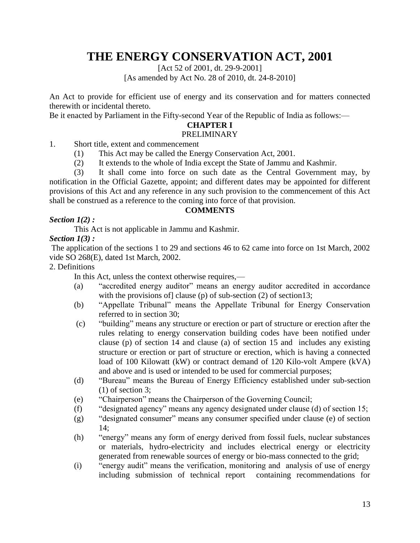# **THE ENERGY CONSERVATION ACT, 2001**

[Act 52 of 2001, dt. 29-9-2001] [As amended by Act No. 28 of 2010, dt. 24-8-2010]

An Act to provide for efficient use of energy and its conservation and for matters connected therewith or incidental thereto.

Be it enacted by Parliament in the Fifty-second Year of the Republic of India as follows:—

# **CHAPTER I**

# PRELIMINARY

- 1. Short title, extent and commencement
	- (1) This Act may be called the Energy Conservation Act, 2001.
	- (2) It extends to the whole of India except the State of Jammu and Kashmir.

(3) It shall come into force on such date as the Central Government may, by notification in the Official Gazette, appoint; and different dates may be appointed for different provisions of this Act and any reference in any such provision to the commencement of this Act shall be construed as a reference to the coming into force of that provision.

#### **COMMENTS**

## *Section 1(2) :*

This Act is not applicable in Jammu and Kashmir.

# *Section 1(3) :*

The application of the sections 1 to 29 and sections 46 to 62 came into force on 1st March, 2002 vide SO 268(E), dated 1st March, 2002.

#### 2. Definitions

In this Act, unless the context otherwise requires,—

- (a) "accredited energy auditor" means an energy auditor accredited in accordance with the provisions of clause (p) of sub-section  $(2)$  of section13;
- (b) "Appellate Tribunal" means the Appellate Tribunal for Energy Conservation referred to in section 30;
- (c) "building" means any structure or erection or part of structure or erection after the rules relating to energy conservation building codes have been notified under clause (p) of section 14 and clause (a) of section 15 and includes any existing structure or erection or part of structure or erection, which is having a connected load of 100 Kilowatt (kW) or contract demand of 120 Kilo-volt Ampere (kVA) and above and is used or intended to be used for commercial purposes;
- (d) 
"Bureau" means the Bureau of Energy Efficiency established under sub-section (1) of section 3;
- (e) 
"Chairperson" means the Chairperson of the Governing Council;
- (f) "designated agency" means any agency designated under clause (d) of section 15;
- $(g)$  "designated consumer" means any consumer specified under clause (e) of section  $14:$
- (h) "energy" means any form of energy derived from fossil fuels, nuclear substances or materials, hydro-electricity and includes electrical energy or electricity generated from renewable sources of energy or bio-mass connected to the grid;
- (i) "energy audit" means the verification, monitoring and analysis of use of energy including submission of technical report containing recommendations for